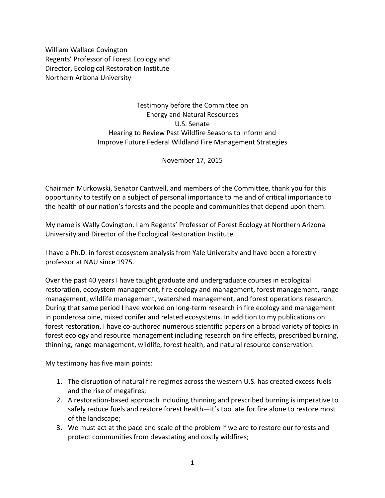William Wallace Covington Regents' Professor of Forest Ecology and Director, Ecological Restoration Institute Northern Arizona University

> Testimony before the Committee on Energy and Natural Resources U.S. Senate Hearing to Review Past Wildfire Seasons to Inform and Improve Future Federal Wildland Fire Management Strategies

> > November 17, 2015

Chairman Murkowski, Senator Cantwell, and members of the Committee, thank you for this opportunity to testify on a subject of personal importance to me and of critical importance to the health of our nation's forests and the people and communities that depend upon them.

My name is Wally Covington. I am Regents' Professor of Forest Ecology at Northern Arizona University and Director of the Ecological Restoration Institute.

I have a Ph.D. in forest ecosystem analysis from Yale University and have been a forestry professor at NAU since 1975.

Over the past 40 years I have taught graduate and undergraduate courses in ecological restoration, ecosystem management, fire ecology and management, forest management, range management, wildlife management, watershed management, and forest operations research. During that same period I have worked on long-term research in fire ecology and management in ponderosa pine, mixed conifer and related ecosystems. In addition to my publications on forest restoration, I have co-authored numerous scientific papers on a broad variety of topics in forest ecology and resource management including research on fire effects, prescribed burning, thinning, range management, wildlife, forest health, and natural resource conservation.

My testimony has five main points:

- 1. The disruption of natural fire regimes across the western U.S. has created excess fuels and the rise of megafires;
- 2. A restoration-based approach including thinning and prescribed burning is imperative to safely reduce fuels and restore forest health—it's too late for fire alone to restore most of the landscape;
- 3. We must act at the pace and scale of the problem if we are to restore our forests and protect communities from devastating and costly wildfires;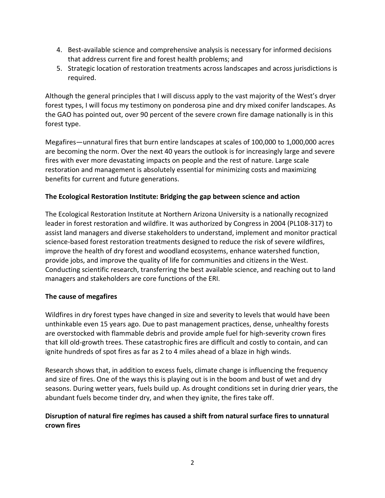- 4. Best-available science and comprehensive analysis is necessary for informed decisions that address current fire and forest health problems; and
- 5. Strategic location of restoration treatments across landscapes and across jurisdictions is required.

Although the general principles that I will discuss apply to the vast majority of the West's dryer forest types, I will focus my testimony on ponderosa pine and dry mixed conifer landscapes. As the GAO has pointed out, over 90 percent of the severe crown fire damage nationally is in this forest type.

Megafires—unnatural fires that burn entire landscapes at scales of 100,000 to 1,000,000 acres are becoming the norm. Over the next 40 years the outlook is for increasingly large and severe fires with ever more devastating impacts on people and the rest of nature. Large scale restoration and management is absolutely essential for minimizing costs and maximizing benefits for current and future generations.

# **The Ecological Restoration Institute: Bridging the gap between science and action**

The Ecological Restoration Institute at Northern Arizona University is a nationally recognized leader in forest restoration and wildfire. It was authorized by Congress in 2004 (PL108-317) to assist land managers and diverse stakeholders to understand, implement and monitor practical science-based forest restoration treatments designed to reduce the risk of severe wildfires, improve the health of dry forest and woodland ecosystems, enhance watershed function, provide jobs, and improve the quality of life for communities and citizens in the West. Conducting scientific research, transferring the best available science, and reaching out to land managers and stakeholders are core functions of the ERI.

# **The cause of megafires**

Wildfires in dry forest types have changed in size and severity to levels that would have been unthinkable even 15 years ago. Due to past management practices, dense, unhealthy forests are overstocked with flammable debris and provide ample fuel for high-severity crown fires that kill old-growth trees. These catastrophic fires are difficult and costly to contain, and can ignite hundreds of spot fires as far as 2 to 4 miles ahead of a blaze in high winds.

Research shows that, in addition to excess fuels, [climate](http://m.livescience.com/47510-wildfire-prevention-is-science-not-art.html) change is influencing the frequency and size of fires. One of the ways this is playing out is in the boom and bust of wet and dry seasons. During wetter years, fuels build up. As drought conditions set in during drier years, the abundant fuels become tinder dry, and when they ignite, the fires take off.

# **Disruption of natural fire regimes has caused a shift from natural surface fires to unnatural crown fires**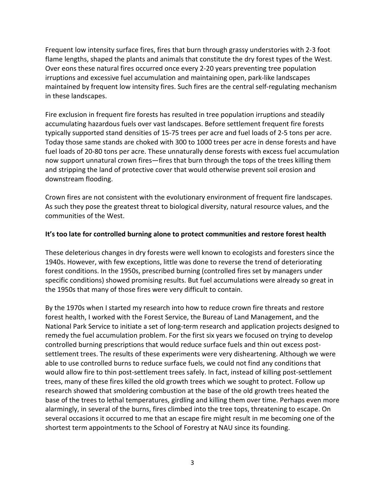Frequent low intensity surface fires, fires that burn through grassy understories with 2-3 foot flame lengths, shaped the plants and animals that constitute the dry forest types of the West. Over eons these natural fires occurred once every 2-20 years preventing tree population irruptions and excessive fuel accumulation and maintaining open, park-like landscapes maintained by frequent low intensity fires. Such fires are the central self-regulating mechanism in these landscapes.

Fire exclusion in frequent fire forests has resulted in tree population irruptions and steadily accumulating hazardous fuels over vast landscapes. Before settlement frequent fire forests typically supported stand densities of 15-75 trees per acre and fuel loads of 2-5 tons per acre. Today those same stands are choked with 300 to 1000 trees per acre in dense forests and have fuel loads of 20-80 tons per acre. These unnaturally dense forests with excess fuel accumulation now support unnatural crown fires—fires that burn through the tops of the trees killing them and stripping the land of protective cover that would otherwise prevent soil erosion and downstream flooding.

Crown fires are not consistent with the evolutionary environment of frequent fire landscapes. As such they pose the greatest threat to biological diversity, natural resource values, and the communities of the West.

### **It's too late for controlled burning alone to protect communities and restore forest health**

These deleterious changes in dry forests were well known to ecologists and foresters since the 1940s. However, with few exceptions, little was done to reverse the trend of deteriorating forest conditions. In the 1950s, prescribed burning (controlled fires set by managers under specific conditions) showed promising results. But fuel accumulations were already so great in the 1950s that many of those fires were very difficult to contain.

By the 1970s when I started my research into how to reduce crown fire threats and restore forest health, I worked with the Forest Service, the Bureau of Land Management, and the National Park Service to initiate a set of long-term research and application projects designed to remedy the fuel accumulation problem. For the first six years we focused on trying to develop controlled burning prescriptions that would reduce surface fuels and thin out excess postsettlement trees. The results of these experiments were very disheartening. Although we were able to use controlled burns to reduce surface fuels, we could not find any conditions that would allow fire to thin post-settlement trees safely. In fact, instead of killing post-settlement trees, many of these fires killed the old growth trees which we sought to protect. Follow up research showed that smoldering combustion at the base of the old growth trees heated the base of the trees to lethal temperatures, girdling and killing them over time. Perhaps even more alarmingly, in several of the burns, fires climbed into the tree tops, threatening to escape. On several occasions it occurred to me that an escape fire might result in me becoming one of the shortest term appointments to the School of Forestry at NAU since its founding.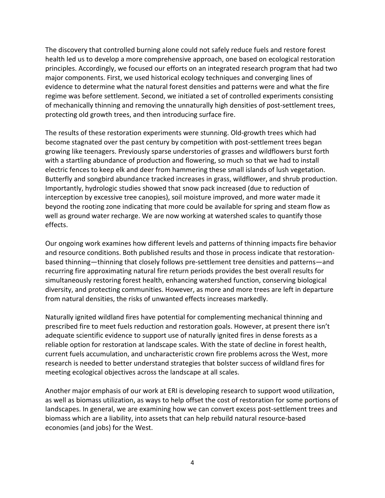The discovery that controlled burning alone could not safely reduce fuels and restore forest health led us to develop a more comprehensive approach, one based on ecological restoration principles. Accordingly, we focused our efforts on an integrated research program that had two major components. First, we used historical ecology techniques and converging lines of evidence to determine what the natural forest densities and patterns were and what the fire regime was before settlement. Second, we initiated a set of controlled experiments consisting of mechanically thinning and removing the unnaturally high densities of post-settlement trees, protecting old growth trees, and then introducing surface fire.

The results of these restoration experiments were stunning. Old-growth trees which had become stagnated over the past century by competition with post-settlement trees began growing like teenagers. Previously sparse understories of grasses and wildflowers burst forth with a startling abundance of production and flowering, so much so that we had to install electric fences to keep elk and deer from hammering these small islands of lush vegetation. Butterfly and songbird abundance tracked increases in grass, wildflower, and shrub production. Importantly, hydrologic studies showed that snow pack increased (due to reduction of interception by excessive tree canopies), soil moisture improved, and more water made it beyond the rooting zone indicating that more could be available for spring and steam flow as well as ground water recharge. We are now working at watershed scales to quantify those effects.

Our ongoing work examines how different levels and patterns of thinning impacts fire behavior and resource conditions. Both published results and those in process indicate that restorationbased thinning—thinning that closely follows pre-settlement tree densities and patterns—and recurring fire approximating natural fire return periods provides the best overall results for simultaneously restoring forest health, enhancing watershed function, conserving biological diversity, and protecting communities. However, as more and more trees are left in departure from natural densities, the risks of unwanted effects increases markedly.

Naturally ignited wildland fires have potential for complementing mechanical thinning and prescribed fire to meet fuels reduction and restoration goals. However, at present there isn't adequate scientific evidence to support use of naturally ignited fires in dense forests as a reliable option for restoration at landscape scales. With the state of decline in forest health, current fuels accumulation, and uncharacteristic crown fire problems across the West, more research is needed to better understand strategies that bolster success of wildland fires for meeting ecological objectives across the landscape at all scales.

Another major emphasis of our work at ERI is developing research to support wood utilization, as well as biomass utilization, as ways to help offset the cost of restoration for some portions of landscapes. In general, we are examining how we can convert excess post-settlement trees and biomass which are a liability, into assets that can help rebuild natural resource-based economies (and jobs) for the West.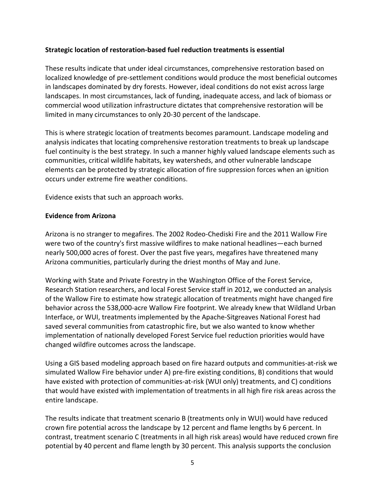### **Strategic location of restoration-based fuel reduction treatments is essential**

These results indicate that under ideal circumstances, comprehensive restoration based on localized knowledge of pre-settlement conditions would produce the most beneficial outcomes in landscapes dominated by dry forests. However, ideal conditions do not exist across large landscapes. In most circumstances, lack of funding, inadequate access, and lack of biomass or commercial wood utilization infrastructure dictates that comprehensive restoration will be limited in many circumstances to only 20-30 percent of the landscape.

This is where strategic location of treatments becomes paramount. Landscape modeling and analysis indicates that locating comprehensive restoration treatments to break up landscape fuel continuity is the best strategy. In such a manner highly valued landscape elements such as communities, critical wildlife habitats, key watersheds, and other vulnerable landscape elements can be protected by strategic allocation of fire suppression forces when an ignition occurs under extreme fire weather conditions.

Evidence exists that such an approach works.

### **Evidence from Arizona**

Arizona is no stranger to megafires. The 2002 Rodeo-Chediski Fire and the 2011 Wallow Fire were two of the country's first massive wildfires to make national headlines—each burned nearly 500,000 acres of forest. Over the past five years, megafires have threatened many Arizona communities, particularly during the driest months of May and June.

Working with State and Private Forestry in the Washington Office of the Forest Service, Research Station researchers, and local Forest Service staff in 2012, we conducted an analysis of the Wallow Fire to estimate how strategic allocation of treatments might have changed fire behavior across the 538,000-acre Wallow Fire footprint. We already knew that Wildland Urban Interface, or WUI, treatments implemented by the Apache-Sitgreaves National Forest had saved several communities from catastrophic fire, but we also wanted to know whether implementation of nationally developed Forest Service fuel reduction priorities would have changed wildfire outcomes across the landscape.

Using a GIS based modeling approach based on fire hazard outputs and communities-at-risk we simulated Wallow Fire behavior under A) pre-fire existing conditions, B) conditions that would have existed with protection of communities-at-risk (WUI only) treatments, and C) conditions that would have existed with implementation of treatments in all high fire risk areas across the entire landscape.

The results indicate that treatment scenario B (treatments only in WUI) would have reduced crown fire potential across the landscape by 12 percent and flame lengths by 6 percent. In contrast, treatment scenario C (treatments in all high risk areas) would have reduced crown fire potential by 40 percent and flame length by 30 percent. This analysis supports the conclusion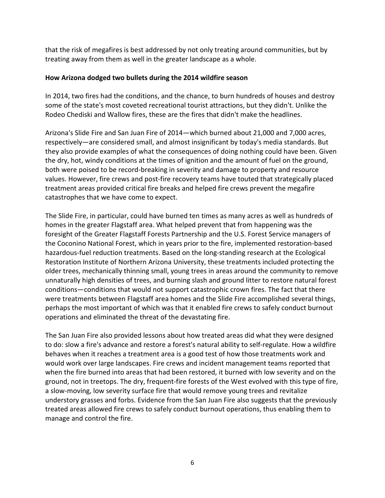that the risk of megafires is best addressed by not only treating around communities, but by treating away from them as well in the greater landscape as a whole.

### **How Arizona dodged two bullets during the 2014 wildfire season**

In 2014, two fires had the conditions, and the chance, to burn hundreds of houses and destroy some of the state's most coveted recreational tourist attractions, but they didn't. Unlike the Rodeo Chediski and Wallow fires, these are the fires that didn't make the headlines.

Arizona's Slide Fire and San Juan Fire of 2014—which burned about 21,000 and 7,000 acres, respectively—are considered small, and almost insignificant by today's media standards. But they also provide examples of what the consequences of doing nothing could have been. Given the dry, hot, windy conditions at the times of ignition and the amount of fuel on the ground, both were poised to be record-breaking in severity and damage to property and resource values. However, fire crews and post-fire recovery teams have touted that strategically placed treatment areas provided critical fire breaks and helped fire crews [prevent](http://m.livescience.com/47510-wildfire-prevention-is-science-not-art.html) the megafire catastrophes that we have come to expect.

The Slide Fire, in particular, could have burned ten times as many acres as well as hundreds of homes in the greater Flagstaff area. What helped prevent that from happening was the foresight of the Greater Flagstaff Forests Partnership and the U.S. Forest Service managers of the Coconino National Forest, which in years prior to the fire, implemented restoration-based hazardous-fuel reduction [treatments.](http://m.livescience.com/47510-wildfire-prevention-is-science-not-art.html) Based on the long-standing research at the Ecological Restoration Institute of Northern Arizona University, these treatments included protecting the older trees, mechanically thinning small, young trees in areas around the community to remove unnaturally high densities of trees, and burning slash and ground litter to restore natural forest conditions—conditions that would not support catastrophic crown fires. The fact that there were treatments between Flagstaff area homes and the Slide Fire accomplished several things, perhaps the most important of which was that it enabled fire crews to safely conduct burnout operations and eliminated the threat of the devastating fire.

The San Juan Fire also provided lessons about how treated areas did what they were designed to do: slow a fire's advance and restore a forest's natural ability to self-regulate. How a wildfire behaves when it reaches a [treatment](http://m.livescience.com/47510-wildfire-prevention-is-science-not-art.html) area is a good test of how those treatments work and would work over large landscapes. Fire crews and incident management teams reported that when the fire burned into areas that had been restored, it burned with low severity and on the ground, not in treetops. The dry, frequent-fire forests of the West evolved with this type of fire, a slow-moving, low severity surface fire that would remove young trees and revitalize understory grasses and forbs. Evidence from the San Juan Fire also suggests that the previously treated areas allowed fire crews to safely conduct burnout operations, thus enabling them to manage and control the fire.